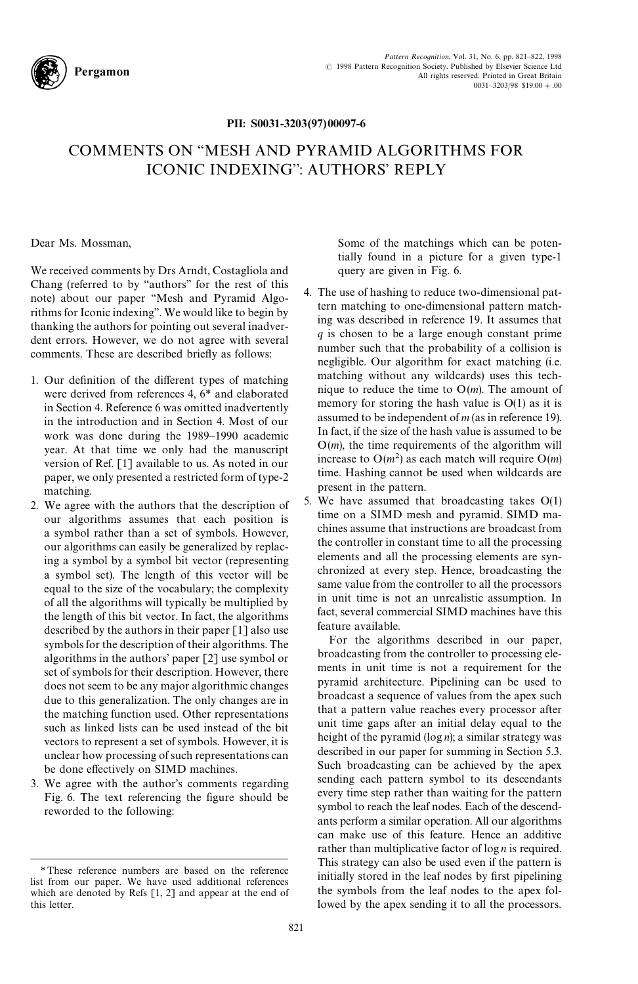

## PII: S0031-3203(97)00097-6

## COMMENTS ON ''MESH AND PYRAMID ALGORITHMS FOR ICONIC INDEXING'': AUTHORS' REPLY

Dear Ms. Mossman,

We received comments by Drs Arndt, Costagliola and Chang (referred to by ''authors'' for the rest of this note) about our paper ''Mesh and Pyramid Algorithms for Iconic indexing''. We would like to begin by thanking the authors for pointing out several inadverdent errors. However, we do not agree with several comments. These are described briefly as follows:

- 1. Our definition of the different types of matching were derived from references 4, 6*\** and elaborated in Section 4. Reference 6 was omitted inadvertently in the introduction and in Section 4. Most of our work was done during the 1989*—*1990 academic year. At that time we only had the manuscript version of Ref. [1] available to us. As noted in our paper, we only presented a restricted form of type-2 matching.
- 2. We agree with the authors that the description of our algorithms assumes that each position is a symbol rather than a set of symbols. However, our algorithms can easily be generalized by replacing a symbol by a symbol bit vector (representing a symbol set). The length of this vector will be equal to the size of the vocabulary; the complexity of all the algorithms will typically be multiplied by the length of this bit vector. In fact, the algorithms described by the authors in their paper [1] also use symbols for the description of their algorithms. The algorithms in the authors' paper [2] use symbol or set of symbols for their description. However, there does not seem to be any major algorithmic changes due to this generalization. The only changes are in the matching function used. Other representations such as linked lists can be used instead of the bit vectors to represent a set of symbols. However, it is unclear how processing of such representations can be done effectively on SIMD machines.
- 3. We agree with the author's comments regarding Fig. 6. The text referencing the figure should be reworded to the following:

Some of the matchings which can be potentially found in a picture for a given type-1 query are given in Fig. 6.

- 4. The use of hashing to reduce two-dimensional pattern matching to one-dimensional pattern matching was described in reference 19. It assumes that *q* is chosen to be a large enough constant prime number such that the probability of a collision is negligible. Our algorithm for exact matching (i.e. matching without any wildcards) uses this technique to reduce the time to O(*m*). The amount of memory for storing the hash value is  $O(1)$  as it is assumed to be independent of *m* (as in reference 19). In fact, if the size of the hash value is assumed to be O(*m*), the time requirements of the algorithm will increase to  $O(m^2)$  as each match will require  $O(m)$ time. Hashing cannot be used when wildcards are present in the pattern.
- 5. We have assumed that broadcasting takes O(1) time on a SIMD mesh and pyramid. SIMD machines assume that instructions are broadcast from the controller in constant time to all the processing elements and all the processing elements are synchronized at every step. Hence, broadcasting the same value from the controller to all the processors in unit time is not an unrealistic assumption. In fact, several commercial SIMD machines have this feature available.

For the algorithms described in our paper, broadcasting from the controller to processing elements in unit time is not a requirement for the pyramid architecture. Pipelining can be used to broadcast a sequence of values from the apex such that a pattern value reaches every processor after unit time gaps after an initial delay equal to the height of the pyramid (log *n*); a similar strategy was described in our paper for summing in Section 5.3. Such broadcasting can be achieved by the apex sending each pattern symbol to its descendants every time step rather than waiting for the pattern symbol to reach the leaf nodes. Each of the descendants perform a similar operation. All our algorithms can make use of this feature. Hence an additive rather than multiplicative factor of log *n* is required. This strategy can also be used even if the pattern is initially stored in the leaf nodes by first pipelining the symbols from the leaf nodes to the apex followed by the apex sending it to all the processors.

*<sup>\*</sup>*These reference numbers are based on the reference list from our paper. We have used additional references which are denoted by Refs [1, 2] and appear at the end of this letter.